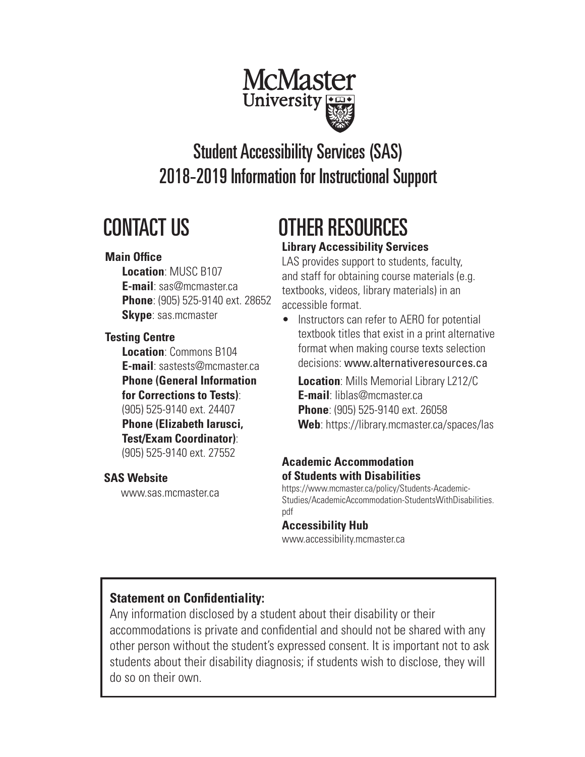

# CONTACT US

#### **Main Office**

**Location**: MUSC B107 **E-mail**: sas@mcmaster.ca **Phone**: (905) 525-9140 ext. 28652  **Skype**: sas.mcmaster

## **Testing Centre**

**Location**: Commons B104 **E-mail**: sastests@mcmaster.ca **Phone (General Information for Corrections to Tests)**: (905) 525-9140 ext. 24407 **Phone (Elizabeth Iarusci,** 

## **Test/Exam Coordinator)**:

(905) 525-9140 ext. 27552 **Academic Accommodation** 

## **SAS Website**

www.sas.mcmaster.ca

# **Library Accessibility Services** OTHER RESOURCES

LAS provides support to students, faculty, and staff for obtaining course materials (e.g. textbooks, videos, library materials) in an accessible format.

• Instructors can refer to AERO for potential textbook titles that exist in a print alternative format when making course texts selection decisions: www.alternativeresources.ca

**Location**: Mills Memorial Library L212/C **E-mail**: liblas@mcmaster.ca **Phone**: (905) 525-9140 ext. 26058 **Web**: https://library.mcmaster.ca/spaces/las

# **of Students with Disabilities**

https://www.mcmaster.ca/policy/Students-Academic-Studies/AcademicAccommodation-StudentsWithDisabilities. pdf

## **Accessibility Hub**

www.accessibility.mcmaster.ca

# **Statement on Confidentiality:**

Any information disclosed by a student about their disability or their accommodations is private and confidential and should not be shared with any other person without the student's expressed consent. It is important not to ask students about their disability diagnosis; if students wish to disclose, they will do so on their own.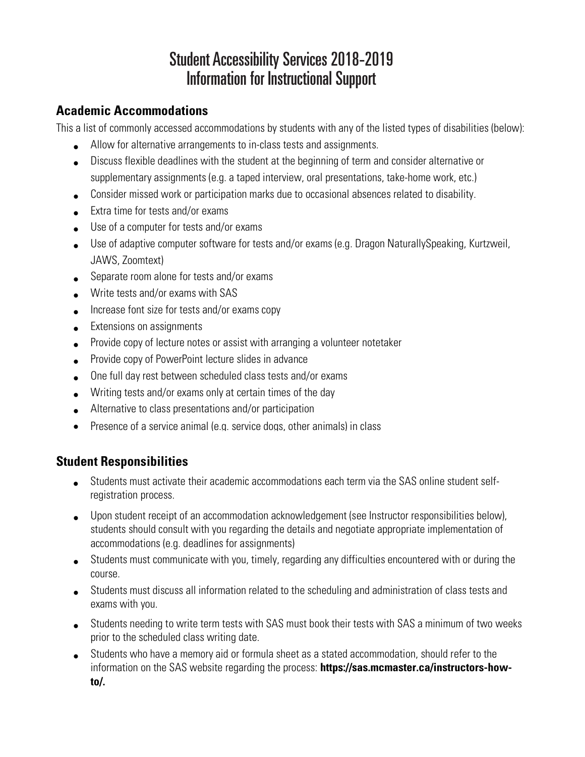#### **Academic Accommodations**

This a list of commonly accessed accommodations by students with any of the listed types of disabilities (below):

- Allow for alternative arrangements to in-class tests and assignments.
- Discuss flexible deadlines with the student at the beginning of term and consider alternative or supplementary assignments (e.g. a taped interview, oral presentations, take-home work, etc.)
- Consider missed work or participation marks due to occasional absences related to disability.
- Extra time for tests and/or exams
- Use of a computer for tests and/or exams
- Use of adaptive computer software for tests and/or exams (e.g. Dragon NaturallySpeaking, Kurtzweil, JAWS, Zoomtext)
- Separate room alone for tests and/or exams
- Write tests and/or exams with SAS
- Increase font size for tests and/or exams copy
- Extensions on assignments
- Provide copy of lecture notes or assist with arranging a volunteer notetaker
- Provide copy of PowerPoint lecture slides in advance
- One full day rest between scheduled class tests and/or exams
- Writing tests and/or exams only at certain times of the day
- Alternative to class presentations and/or participation
- Presence of a service animal (e.g. service dogs, other animals) in class

## **Student Responsibilities**

- Students must activate their academic accommodations each term via the SAS online student selfregistration process.
- Upon student receipt of an accommodation acknowledgement (see Instructor responsibilities below), students should consult with you regarding the details and negotiate appropriate implementation of accommodations (e.g. deadlines for assignments)
- Students must communicate with you, timely, regarding any difficulties encountered with or during the course.
- Students must discuss all information related to the scheduling and administration of class tests and exams with you.
- Students needing to write term tests with SAS must book their tests with SAS a minimum of two weeks prior to the scheduled class writing date.
- Students who have a memory aid or formula sheet as a stated accommodation, should refer to the information on the SAS website regarding the process: **https://sas.mcmaster.ca/instructors-howto/.**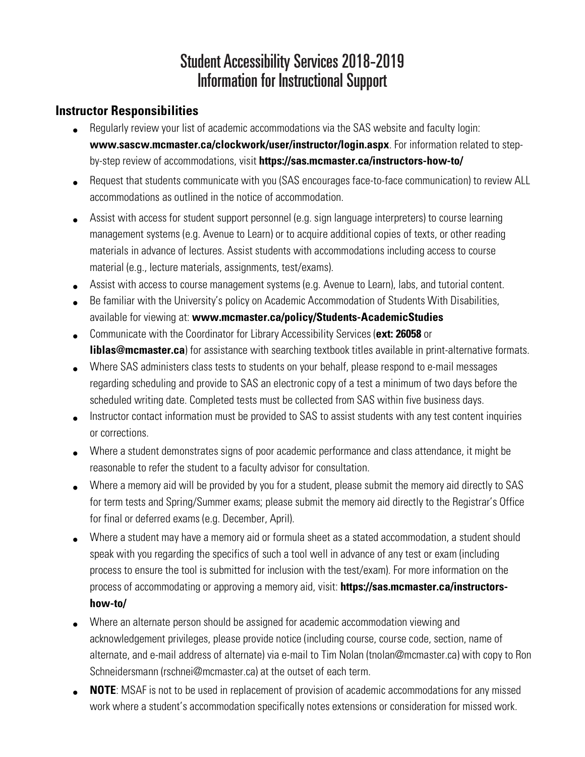## **Instructor Responsibilities**

- Regularly review your list of academic accommodations via the SAS website and faculty login: **www.sascw.mcmaster.ca/clockwork/user/instructor/login.aspx**. For information related to stepby-step review of accommodations, visit **https://sas.mcmaster.ca/instructors-how-to/**
- Request that students communicate with you (SAS encourages face-to-face communication) to review ALL accommodations as outlined in the notice of accommodation.
- Assist with access for student support personnel (e.g. sign language interpreters) to course learning management systems (e.g. Avenue to Learn) or to acquire additional copies of texts, or other reading materials in advance of lectures. Assist students with accommodations including access to course material (e.g., lecture materials, assignments, test/exams).
- Assist with access to course management systems (e.g. Avenue to Learn), labs, and tutorial content.
- Be familiar with the University's policy on Academic Accommodation of Students With Disabilities, available for viewing at: **www.mcmaster.ca/policy/Students-AcademicStudies**
- Communicate with the Coordinator for Library Accessibility Services (**ext: 26058** or **liblas@mcmaster.ca**) for assistance with searching textbook titles available in print-alternative formats.
- Where SAS administers class tests to students on your behalf, please respond to e-mail messages regarding scheduling and provide to SAS an electronic copy of a test a minimum of two days before the scheduled writing date. Completed tests must be collected from SAS within five business days.
- Instructor contact information must be provided to SAS to assist students with any test content inquiries or corrections.
- Where a student demonstrates signs of poor academic performance and class attendance, it might be reasonable to refer the student to a faculty advisor for consultation.
- Where a memory aid will be provided by you for a student, please submit the memory aid directly to SAS for term tests and Spring/Summer exams; please submit the memory aid directly to the Registrar's Office for final or deferred exams (e.g. December, April).
- Where a student may have a memory aid or formula sheet as a stated accommodation, a student should speak with you regarding the specifics of such a tool well in advance of any test or exam (including process to ensure the tool is submitted for inclusion with the test/exam). For more information on the process of accommodating or approving a memory aid, visit: **https://sas.mcmaster.ca/instructorshow-to/**
- Where an alternate person should be assigned for academic accommodation viewing and acknowledgement privileges, please provide notice (including course, course code, section, name of alternate, and e-mail address of alternate) via e-mail to Tim Nolan (tnolan@mcmaster.ca) with copy to Ron Schneidersmann (rschnei@mcmaster.ca) at the outset of each term.
- **NOTE**: MSAF is not to be used in replacement of provision of academic accommodations for any missed work where a student's accommodation specifically notes extensions or consideration for missed work.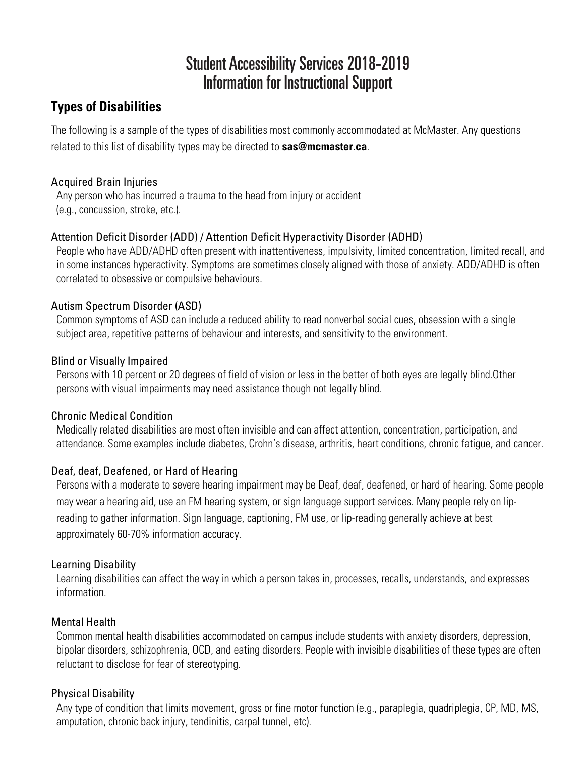## **Types of Disabilities**

The following is a sample of the types of disabilities most commonly accommodated at McMaster. Any questions related to this list of disability types may be directed to **sas@mcmaster.ca**.

#### Acquired Brain Injuries

Any person who has incurred a trauma to the head from injury or accident (e.g., concussion, stroke, etc.).

#### Attention Deficit Disorder (ADD) / Attention Deficit Hyperactivity Disorder (ADHD)

People who have ADD/ADHD often present with inattentiveness, impulsivity, limited concentration, limited recall, and in some instances hyperactivity. Symptoms are sometimes closely aligned with those of anxiety. ADD/ADHD is often correlated to obsessive or compulsive behaviours.

#### Autism Spectrum Disorder (ASD)

Common symptoms of ASD can include a reduced ability to read nonverbal social cues, obsession with a single subject area, repetitive patterns of behaviour and interests, and sensitivity to the environment.

#### Blind or Visually Impaired

Persons with 10 percent or 20 degrees of field of vision or less in the better of both eyes are legally blind.Other persons with visual impairments may need assistance though not legally blind.

#### Chronic Medical Condition

Medically related disabilities are most often invisible and can affect attention, concentration, participation, and attendance. Some examples include diabetes, Crohn's disease, arthritis, heart conditions, chronic fatigue, and cancer.

#### Deaf, deaf, Deafened, or Hard of Hearing

Persons with a moderate to severe hearing impairment may be Deaf, deaf, deafened, or hard of hearing. Some people may wear a hearing aid, use an FM hearing system, or sign language support services. Many people rely on lipreading to gather information. Sign language, captioning, FM use, or lip-reading generally achieve at best approximately 60-70% information accuracy.

#### Learning Disability

Learning disabilities can affect the way in which a person takes in, processes, recalls, understands, and expresses information.

#### Mental Health

Common mental health disabilities accommodated on campus include students with anxiety disorders, depression, bipolar disorders, schizophrenia, OCD, and eating disorders. People with invisible disabilities of these types are often reluctant to disclose for fear of stereotyping.

#### Physical Disability

Any type of condition that limits movement, gross or fine motor function (e.g., paraplegia, quadriplegia, CP, MD, MS, amputation, chronic back injury, tendinitis, carpal tunnel, etc).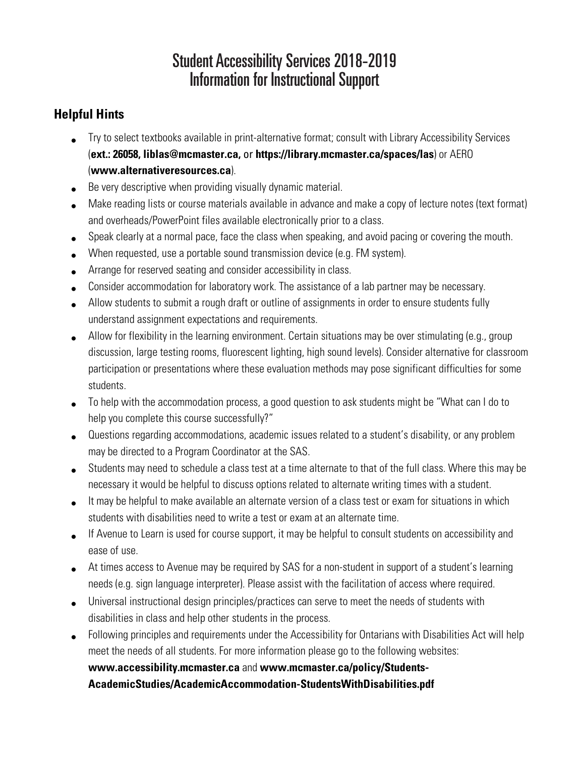## **Helpful Hints**

- Try to select textbooks available in print-alternative format; consult with Library Accessibility Services (**ext.: 26058, liblas@mcmaster.ca,** or **https://library.mcmaster.ca/spaces/las**) or AERO (**www.alternativeresources.ca**).
- Be very descriptive when providing visually dynamic material.
- Make reading lists or course materials available in advance and make a copy of lecture notes (text format) and overheads/PowerPoint files available electronically prior to a class.
- Speak clearly at a normal pace, face the class when speaking, and avoid pacing or covering the mouth.
- When requested, use a portable sound transmission device (e.g. FM system).
- Arrange for reserved seating and consider accessibility in class.
- Consider accommodation for laboratory work. The assistance of a lab partner may be necessary.
- Allow students to submit a rough draft or outline of assignments in order to ensure students fully understand assignment expectations and requirements.
- Allow for flexibility in the learning environment. Certain situations may be over stimulating (e.g., group discussion, large testing rooms, fluorescent lighting, high sound levels). Consider alternative for classroom participation or presentations where these evaluation methods may pose significant difficulties for some students.
- To help with the accommodation process, a good question to ask students might be "What can I do to help you complete this course successfully?"
- Questions regarding accommodations, academic issues related to a student's disability, or any problem may be directed to a Program Coordinator at the SAS.
- Students may need to schedule a class test at a time alternate to that of the full class. Where this may be necessary it would be helpful to discuss options related to alternate writing times with a student.
- It may be helpful to make available an alternate version of a class test or exam for situations in which students with disabilities need to write a test or exam at an alternate time.
- If Avenue to Learn is used for course support, it may be helpful to consult students on accessibility and ease of use.
- At times access to Avenue may be required by SAS for a non-student in support of a student's learning needs (e.g. sign language interpreter). Please assist with the facilitation of access where required.
- Universal instructional design principles/practices can serve to meet the needs of students with disabilities in class and help other students in the process.
- Following principles and requirements under the Accessibility for Ontarians with Disabilities Act will help meet the needs of all students. For more information please go to the following websites: **www.accessibility.mcmaster.ca** and **www.mcmaster.ca/policy/Students-AcademicStudies/AcademicAccommodation-StudentsWithDisabilities.pdf**